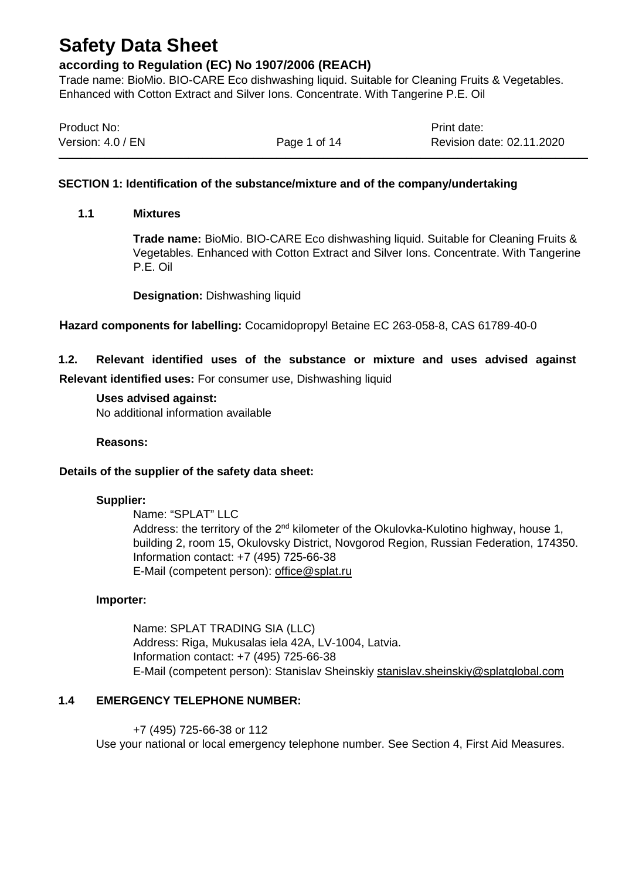### **according to Regulation (EC) No 1907/2006 (REACH)**

Trade name: BioMio. BIO-CARE Eco dishwashing liquid. Suitable for Cleaning Fruits & Vegetables. Enhanced with Cotton Extract and Silver Ions. Concentrate. With Tangerine P.E. Oil

| Product No:       |              | Print date:               |
|-------------------|--------------|---------------------------|
| Version: 4.0 / EN | Page 1 of 14 | Revision date: 02.11.2020 |

#### **SECTION 1: Identification of the substance/mixture and of the company/undertaking**

#### **1.1 Mixtures**

**Trade name:** BioMio. BIO-CARE Eco dishwashing liquid. Suitable for Cleaning Fruits & Vegetables. Enhanced with Cotton Extract and Silver Ions. Concentrate. With Tangerine P.E. Oil

**Designation:** Dishwashing liquid

**Hazard components for labelling:** Cocamidopropyl Betaine EC 263-058-8, CAS 61789-40-0

## **1.2. Relevant identified uses of the substance or mixture and uses advised against**

**Relevant identified uses:** For consumer use, Dishwashing liquid

## **Uses advised against:**

No additional information available

#### **Reasons:**

### **Details of the supplier of the safety data sheet:**

#### **Supplier:**

Name: "SPLAT" LLC Address: the territory of the  $2^{nd}$  kilometer of the Okulovka-Kulotino highway, house 1, building 2, room 15, Okulovsky District, Novgorod Region, Russian Federation, 174350. Information contact: +7 (495) 725-66-38 E-Mail (competent person): [office@splat.ru](mailto:office@splat.ru)

#### **Importer:**

Name: SPLAT TRADING SIA (LLC) Address: Riga, Mukusalas iela 42A, LV-1004, Latvia. Information contact: +7 (495) 725-66-38 E-Mail (competent person): Stanislav Sheinskiy [stanislav.sheinskiy@splatglobal.com](mailto:stanislav.sheinskiy@splatglobal.com)

### **1.4 EMERGENCY TELEPHONE NUMBER:**

+7 (495) 725-66-38 or 112 Use your national or local emergency telephone number. See Section 4, First Aid Measures.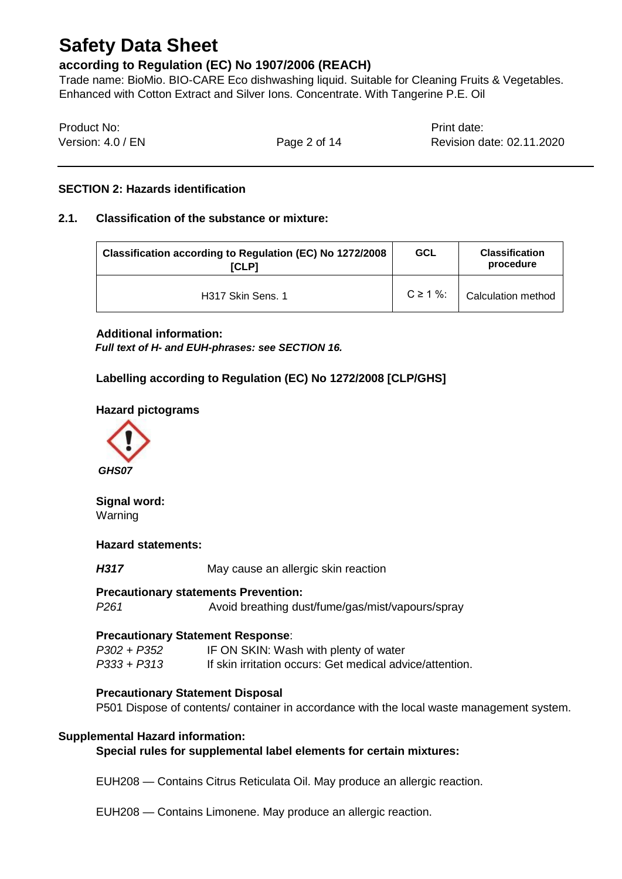### **according to Regulation (EC) No 1907/2006 (REACH)**

Trade name: BioMio. BIO-CARE Eco dishwashing liquid. Suitable for Cleaning Fruits & Vegetables. Enhanced with Cotton Extract and Silver Ions. Concentrate. With Tangerine P.E. Oil

| Product No:       |              | Print date:               |
|-------------------|--------------|---------------------------|
| Version: 4.0 / EN | Page 2 of 14 | Revision date: 02.11.2020 |

#### **SECTION 2: Hazards identification**

#### **2.1. Classification of the substance or mixture:**

| Classification according to Regulation (EC) No 1272/2008<br><b>ICLP1</b> | <b>GCL</b>     | <b>Classification</b><br>procedure |
|--------------------------------------------------------------------------|----------------|------------------------------------|
| H317 Skin Sens. 1                                                        | $C \ge 1 \%$ : | <b>Calculation method</b>          |

#### **Additional information:**

*Full text of H- and EUH-phrases: see SECTION 16.* 

### **Labelling according to Regulation (EC) No 1272/2008 [CLP/GHS]**

#### **Hazard pictograms**



## **Signal word:**

Warning

#### **Hazard statements:**

*H317* May cause an allergic skin reaction

#### **Precautionary statements Prevention:**

*P261* Avoid breathing dust/fume/gas/mist/vapours/spray

#### **Precautionary Statement Response**:

*P302 + P352* IF ON SKIN: Wash with plenty of water *P333 + P313* If skin irritation occurs: Get medical advice/attention.

#### **Precautionary Statement Disposal**

P501 Dispose of contents/ container in accordance with the local waste management system.

#### **Supplemental Hazard information:**

#### **Special rules for supplemental label elements for certain mixtures:**

EUH208 — Contains Citrus Reticulata Oil. May produce an allergic reaction.

EUH208 — Contains Limonene. May produce an allergic reaction.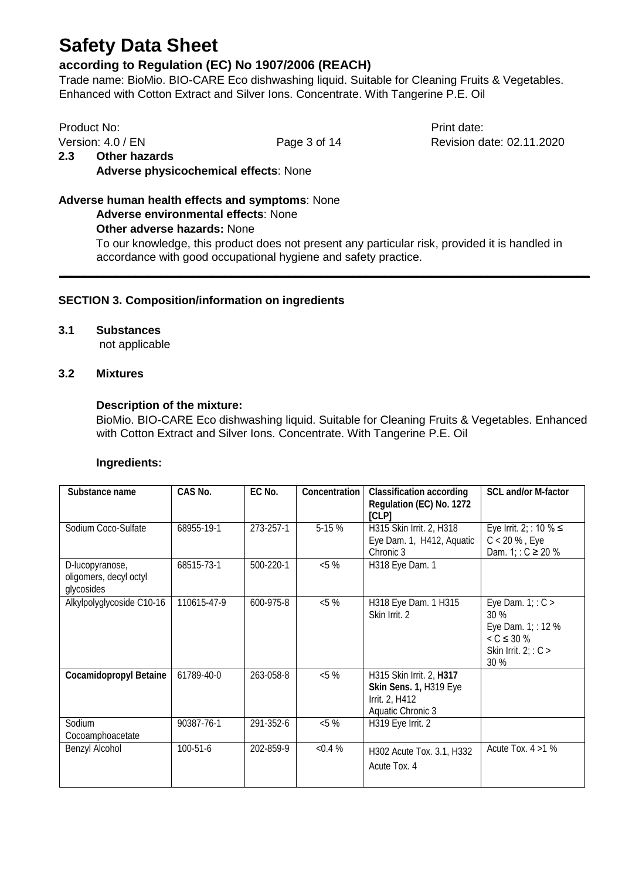### **according to Regulation (EC) No 1907/2006 (REACH)**

Trade name: BioMio. BIO-CARE Eco dishwashing liquid. Suitable for Cleaning Fruits & Vegetables. Enhanced with Cotton Extract and Silver Ions. Concentrate. With Tangerine P.E. Oil

Product No: Product No: Product No: Print date: Version: 4.0 / EN Page 3 of 14 Revision date: 02.11.2020 **2.3 Other hazards Adverse physicochemical effects**: None

### **Adverse human health effects and symptoms**: None

**Adverse environmental effects**: None

#### **Other adverse hazards:** None

To our knowledge, this product does not present any particular risk, provided it is handled in accordance with good occupational hygiene and safety practice.

**\_\_\_\_\_\_\_\_\_\_\_\_\_\_\_\_\_\_\_\_\_\_\_\_\_\_\_\_\_\_\_\_\_\_\_\_\_\_\_\_\_\_\_\_\_\_\_\_\_\_\_\_\_\_\_\_\_\_\_\_\_\_\_\_\_\_\_\_\_\_\_\_\_\_\_\_\_\_\_\_\_\_\_**

#### **SECTION 3. Composition/information on ingredients**

#### **3.1 Substances**

not applicable

#### **3.2 Mixtures**

#### **Description of the mixture:**

BioMio. BIO-CARE Eco dishwashing liquid. Suitable for Cleaning Fruits & Vegetables. Enhanced with Cotton Extract and Silver Ions. Concentrate. With Tangerine P.E. Oil

#### **Ingredients:**

| Substance name                                          | CAS No.     | EC No.    | Concentration | <b>Classification according</b><br>Regulation (EC) No. 1272<br>[CLP]                      | SCL and/or M-factor                                                                                 |
|---------------------------------------------------------|-------------|-----------|---------------|-------------------------------------------------------------------------------------------|-----------------------------------------------------------------------------------------------------|
| Sodium Coco-Sulfate                                     | 68955-19-1  | 273-257-1 | 5-15 %        | H315 Skin Irrit. 2, H318<br>Eye Dam. 1, H412, Aquatic<br>Chronic 3                        | Eye Irrit. 2; : 10 % $\leq$<br>$C < 20 %$ , Eye<br>Dam. 1; : $C \ge 20 \%$                          |
| D-lucopyranose,<br>oligomers, decyl octyl<br>glycosides | 68515-73-1  | 500-220-1 | $< 5 \%$      | H318 Eye Dam. 1                                                                           |                                                                                                     |
| Alkylpolyglycoside C10-16                               | 110615-47-9 | 600-975-8 | &5%           | H318 Eye Dam. 1 H315<br>Skin Irrit. 2                                                     | Eye Dam. $1: C >$<br>30 %<br>Eye Dam. 1; : 12 %<br>$< C \leq 30 \%$<br>Skin Irrit. $2: C >$<br>30 % |
| <b>Cocamidopropyl Betaine</b>                           | 61789-40-0  | 263-058-8 | &5%           | H315 Skin Irrit. 2, H317<br>Skin Sens. 1, H319 Eye<br>Irrit. 2, H412<br>Aquatic Chronic 3 |                                                                                                     |
| Sodium<br>Cocoamphoacetate                              | 90387-76-1  | 291-352-6 | $< 5 \%$      | H319 Eye Irrit. 2                                                                         |                                                                                                     |
| Benzyl Alcohol                                          | 100-51-6    | 202-859-9 | $< 0.4 \%$    | H302 Acute Tox. 3.1, H332<br>Acute Tox. 4                                                 | Acute Tox. $4 > 1$ %                                                                                |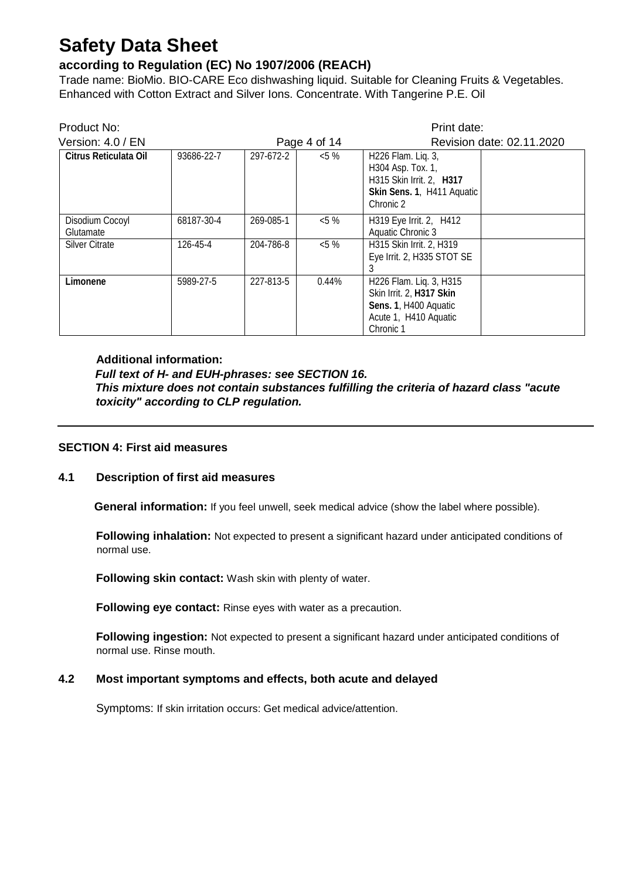## **according to Regulation (EC) No 1907/2006 (REACH)**

Trade name: BioMio. BIO-CARE Eco dishwashing liquid. Suitable for Cleaning Fruits & Vegetables. Enhanced with Cotton Extract and Silver Ions. Concentrate. With Tangerine P.E. Oil

| Product No:                  |            |           |              | Print date:                                                                                                        |                           |
|------------------------------|------------|-----------|--------------|--------------------------------------------------------------------------------------------------------------------|---------------------------|
| Version: 4.0 / EN            |            |           | Page 4 of 14 |                                                                                                                    | Revision date: 02.11.2020 |
| Citrus Reticulata Oil        | 93686-22-7 | 297-672-2 | $< 5 \%$     | H226 Flam. Liq. 3,<br>H304 Asp. Tox. 1,<br>H315 Skin Irrit. 2, H317<br>Skin Sens. 1, H411 Aquatic<br>Chronic 2     |                           |
| Disodium Cocoyl<br>Glutamate | 68187-30-4 | 269-085-1 | $< 5 \%$     | H319 Eye Irrit. 2, H412<br>Aquatic Chronic 3                                                                       |                           |
| <b>Silver Citrate</b>        | 126-45-4   | 204-786-8 | $< 5 \%$     | H315 Skin Irrit. 2, H319<br>Eye Irrit. 2, H335 STOT SE                                                             |                           |
| Limonene                     | 5989-27-5  | 227-813-5 | 0.44%        | H226 Flam. Liq. 3, H315<br>Skin Irrit. 2, H317 Skin<br>Sens. 1, H400 Aquatic<br>Acute 1, H410 Aquatic<br>Chronic 1 |                           |

#### **Additional information:**

*Full text of H- and EUH-phrases: see SECTION 16. This mixture does not contain substances fulfilling the criteria of hazard class "acute toxicity" according to CLP regulation.* 

#### **SECTION 4: First aid measures**

#### **4.1 Description of first aid measures**

 **General information:** If you feel unwell, seek medical advice (show the label where possible).

**Following inhalation:** Not expected to present a significant hazard under anticipated conditions of normal use.

**Following skin contact:** Wash skin with plenty of water.

**Following eye contact:** Rinse eyes with water as a precaution.

**Following ingestion:** Not expected to present a significant hazard under anticipated conditions of normal use. Rinse mouth.

#### **4.2 Most important symptoms and effects, both acute and delayed**

Symptoms: If skin irritation occurs: Get medical advice/attention.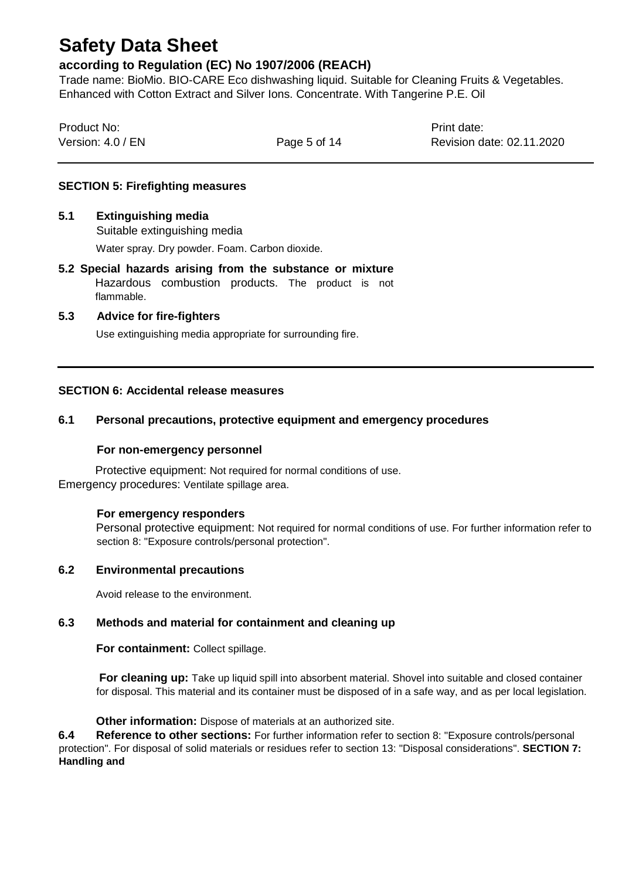### **according to Regulation (EC) No 1907/2006 (REACH)**

Trade name: BioMio. BIO-CARE Eco dishwashing liquid. Suitable for Cleaning Fruits & Vegetables. Enhanced with Cotton Extract and Silver Ions. Concentrate. With Tangerine P.E. Oil

| Product No:       |              | Print date:               |
|-------------------|--------------|---------------------------|
| Version: 4.0 / EN | Page 5 of 14 | Revision date: 02.11.2020 |

#### **SECTION 5: Firefighting measures**

#### **5.1 Extinguishing media**

Suitable extinguishing media

Water spray. Dry powder. Foam. Carbon dioxide.

**5.2 Special hazards arising from the substance or mixture**  Hazardous combustion products. The product is not flammable.

#### **5.3 Advice for fire-fighters**

Use extinguishing media appropriate for surrounding fire.

#### **SECTION 6: Accidental release measures**

#### **6.1 Personal precautions, protective equipment and emergency procedures**

#### **For non-emergency personnel**

Protective equipment: Not required for normal conditions of use. Emergency procedures: Ventilate spillage area.

#### **For emergency responders**

Personal protective equipment: Not required for normal conditions of use. For further information refer to section 8: "Exposure controls/personal protection".

#### **6.2 Environmental precautions**

Avoid release to the environment.

#### **6.3 Methods and material for containment and cleaning up**

**For containment:** Collect spillage.

**For cleaning up:** Take up liquid spill into absorbent material. Shovel into suitable and closed container for disposal. This material and its container must be disposed of in a safe way, and as per local legislation.

**Other information:** Dispose of materials at an authorized site.

**6.4 Reference to other sections:** For further information refer to section 8: "Exposure controls/personal protection". For disposal of solid materials or residues refer to section 13: "Disposal considerations". **SECTION 7: Handling and**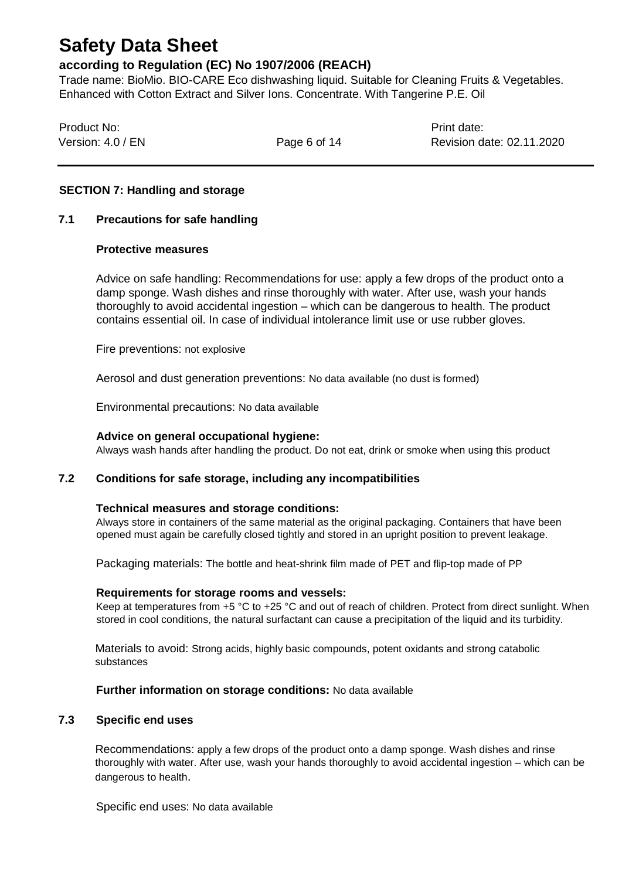### **according to Regulation (EC) No 1907/2006 (REACH)**

Trade name: BioMio. BIO-CARE Eco dishwashing liquid. Suitable for Cleaning Fruits & Vegetables. Enhanced with Cotton Extract and Silver Ions. Concentrate. With Tangerine P.E. Oil

| Product No:       |              | Print date:               |
|-------------------|--------------|---------------------------|
| Version: 4.0 / EN | Page 6 of 14 | Revision date: 02.11.2020 |

#### **SECTION 7: Handling and storage**

#### **7.1 Precautions for safe handling**

#### **Protective measures**

Advice on safe handling: Recommendations for use: apply a few drops of the product onto a damp sponge. Wash dishes and rinse thoroughly with water. After use, wash your hands thoroughly to avoid accidental ingestion – which can be dangerous to health. The product contains essential oil. In case of individual intolerance limit use or use rubber gloves.

Fire preventions: not explosive

Aerosol and dust generation preventions: No data available (no dust is formed)

Environmental precautions: No data available

#### **Advice on general occupational hygiene:**

Always wash hands after handling the product. Do not eat, drink or smoke when using this product

#### **7.2 Conditions for safe storage, including any incompatibilities**

#### **Technical measures and storage conditions:**

Always store in containers of the same material as the original packaging. Containers that have been opened must again be carefully closed tightly and stored in an upright position to prevent leakage.

Packaging materials: The bottle and heat-shrink film made of PET and flip-top made of PP

#### **Requirements for storage rooms and vessels:**

Keep at temperatures from +5 °C to +25 °C and out of reach of children. Protect from direct sunlight. When stored in cool conditions, the natural surfactant can cause a precipitation of the liquid and its turbidity.

Materials to avoid: Strong acids, highly basic compounds, potent oxidants and strong catabolic substances

#### **Further information on storage conditions:** No data available

#### **7.3 Specific end uses**

Recommendations: apply a few drops of the product onto a damp sponge. Wash dishes and rinse thoroughly with water. After use, wash your hands thoroughly to avoid accidental ingestion – which can be dangerous to health.

Specific end uses: No data available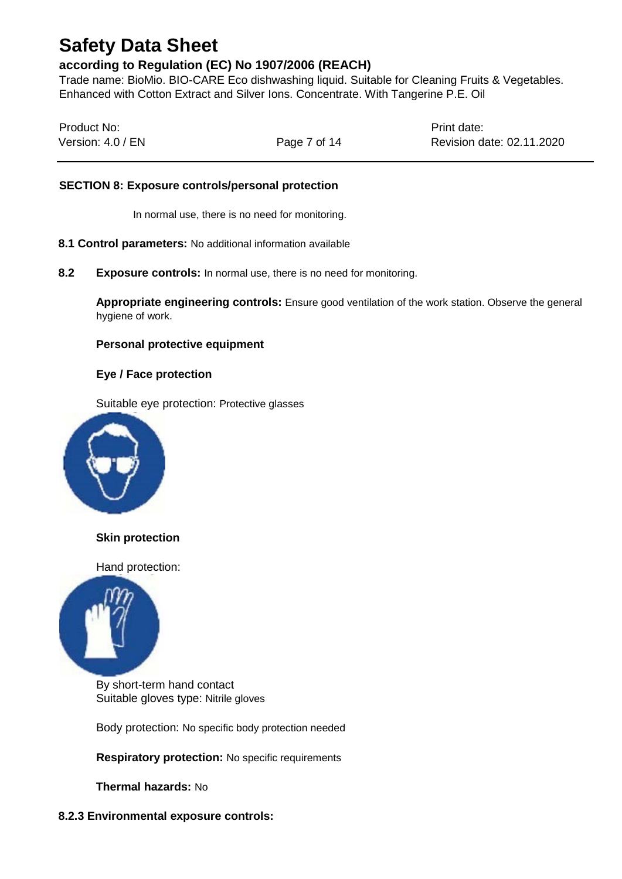### **according to Regulation (EC) No 1907/2006 (REACH)**

Trade name: BioMio. BIO-CARE Eco dishwashing liquid. Suitable for Cleaning Fruits & Vegetables. Enhanced with Cotton Extract and Silver Ions. Concentrate. With Tangerine P.E. Oil

| Product No:       |              | Print date:               |
|-------------------|--------------|---------------------------|
| Version: 4.0 / EN | Page 7 of 14 | Revision date: 02.11.2020 |

#### **SECTION 8: Exposure controls/personal protection**

In normal use, there is no need for monitoring.

- **8.1 Control parameters:** No additional information available
- **8.2 Exposure controls:** In normal use, there is no need for monitoring.

**Appropriate engineering controls:** Ensure good ventilation of the work station. Observe the general hygiene of work.

#### **Personal protective equipment**

#### **Eye / Face protection**

Suitable eye protection: Protective glasses



**Skin protection**

Hand protection:



By short-term hand contact Suitable gloves type: Nitrile gloves

Body protection: No specific body protection needed

**Respiratory protection:** No specific requirements

**Thermal hazards:** No

#### **8.2.3 Environmental exposure controls:**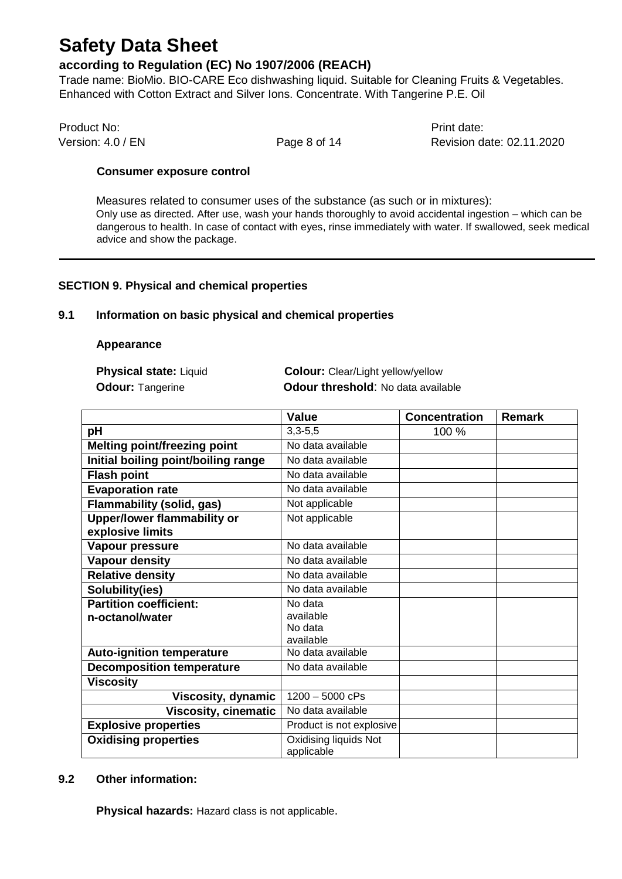### **according to Regulation (EC) No 1907/2006 (REACH)**

Trade name: BioMio. BIO-CARE Eco dishwashing liquid. Suitable for Cleaning Fruits & Vegetables. Enhanced with Cotton Extract and Silver Ions. Concentrate. With Tangerine P.E. Oil

Product No: Product No: Product No: Print date:

Version: 4.0 / EN **Page 8 of 14** Revision date: 02.11.2020

#### **Consumer exposure control**

Measures related to consumer uses of the substance (as such or in mixtures): Only use as directed. After use, wash your hands thoroughly to avoid accidental ingestion – which can be dangerous to health. In case of contact with eyes, rinse immediately with water. If swallowed, seek medical advice and show the package.

#### **SECTION 9. Physical and chemical properties**

#### **9.1 Information on basic physical and chemical properties**

#### **Appearance**

**Physical state:** Liquid **Colour:** Clear/Light yellow/yellow **Odour:** Tangerine **Colour threshold**: No data available

|                                     | <b>Value</b>                        | <b>Concentration</b> | <b>Remark</b> |
|-------------------------------------|-------------------------------------|----------------------|---------------|
| рH                                  | $3,3-5,5$                           | 100 %                |               |
| <b>Melting point/freezing point</b> | No data available                   |                      |               |
| Initial boiling point/boiling range | No data available                   |                      |               |
| <b>Flash point</b>                  | No data available                   |                      |               |
| <b>Evaporation rate</b>             | No data available                   |                      |               |
| <b>Flammability (solid, gas)</b>    | Not applicable                      |                      |               |
| <b>Upper/lower flammability or</b>  | Not applicable                      |                      |               |
| explosive limits                    |                                     |                      |               |
| Vapour pressure                     | No data available                   |                      |               |
| <b>Vapour density</b>               | No data available                   |                      |               |
| <b>Relative density</b>             | No data available                   |                      |               |
| Solubility(ies)                     | No data available                   |                      |               |
| <b>Partition coefficient:</b>       | No data                             |                      |               |
| n-octanol/water                     | available                           |                      |               |
|                                     | No data                             |                      |               |
|                                     | available                           |                      |               |
| <b>Auto-ignition temperature</b>    | No data available                   |                      |               |
| <b>Decomposition temperature</b>    | No data available                   |                      |               |
| <b>Viscosity</b>                    |                                     |                      |               |
| <b>Viscosity, dynamic</b>           | $1200 - 5000$ cPs                   |                      |               |
| <b>Viscosity, cinematic</b>         | No data available                   |                      |               |
| <b>Explosive properties</b>         | Product is not explosive            |                      |               |
| <b>Oxidising properties</b>         | Oxidising liquids Not<br>applicable |                      |               |

#### **9.2 Other information:**

**Physical hazards:** Hazard class is not applicable.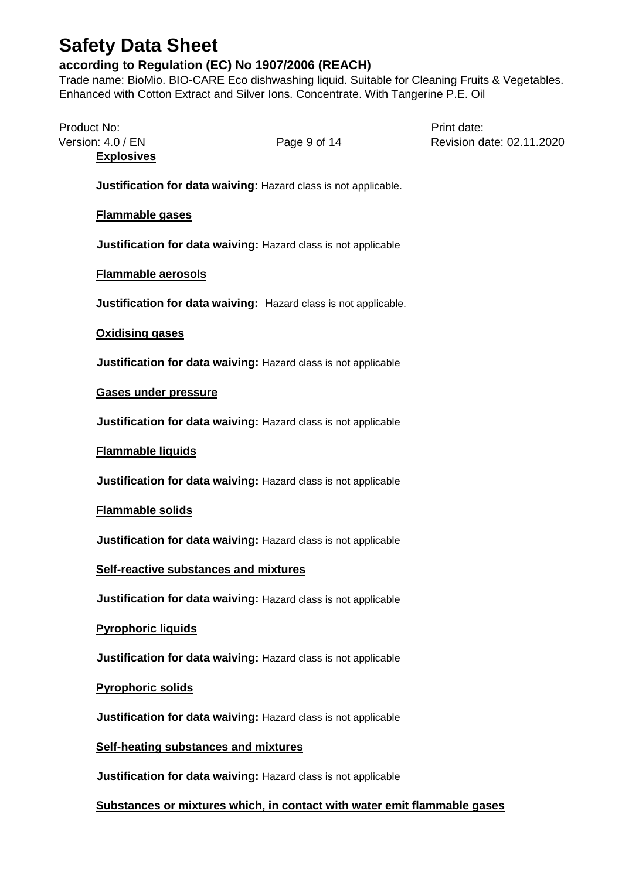## **according to Regulation (EC) No 1907/2006 (REACH)**

Trade name: BioMio. BIO-CARE Eco dishwashing liquid. Suitable for Cleaning Fruits & Vegetables. Enhanced with Cotton Extract and Silver Ions. Concentrate. With Tangerine P.E. Oil

| Product No: | Version: 4.0 / EN<br><b>Explosives</b> | Page 9 of 14                                                             | Print date:<br>Revision date: 02.11.2020 |
|-------------|----------------------------------------|--------------------------------------------------------------------------|------------------------------------------|
|             |                                        | Justification for data waiving: Hazard class is not applicable.          |                                          |
|             | <b>Flammable gases</b>                 |                                                                          |                                          |
|             |                                        | Justification for data waiving: Hazard class is not applicable           |                                          |
|             | <b>Flammable aerosols</b>              |                                                                          |                                          |
|             |                                        | <b>Justification for data waiving:</b> Hazard class is not applicable.   |                                          |
|             | <b>Oxidising gases</b>                 |                                                                          |                                          |
|             |                                        | Justification for data waiving: Hazard class is not applicable           |                                          |
|             | Gases under pressure                   |                                                                          |                                          |
|             |                                        | Justification for data waiving: Hazard class is not applicable           |                                          |
|             | <b>Flammable liquids</b>               |                                                                          |                                          |
|             |                                        | Justification for data waiving: Hazard class is not applicable           |                                          |
|             | <b>Flammable solids</b>                |                                                                          |                                          |
|             |                                        | Justification for data waiving: Hazard class is not applicable           |                                          |
|             |                                        | <b>Self-reactive substances and mixtures</b>                             |                                          |
|             |                                        | Justification for data waiving: Hazard class is not applicable           |                                          |
|             | <b>Pyrophoric liquids</b>              |                                                                          |                                          |
|             |                                        | Justification for data waiving: Hazard class is not applicable           |                                          |
|             | <b>Pyrophoric solids</b>               |                                                                          |                                          |
|             |                                        | Justification for data waiving: Hazard class is not applicable           |                                          |
|             |                                        | <b>Self-heating substances and mixtures</b>                              |                                          |
|             |                                        | Justification for data waiving: Hazard class is not applicable           |                                          |
|             |                                        | Substances or mixtures which, in contact with water emit flammable gases |                                          |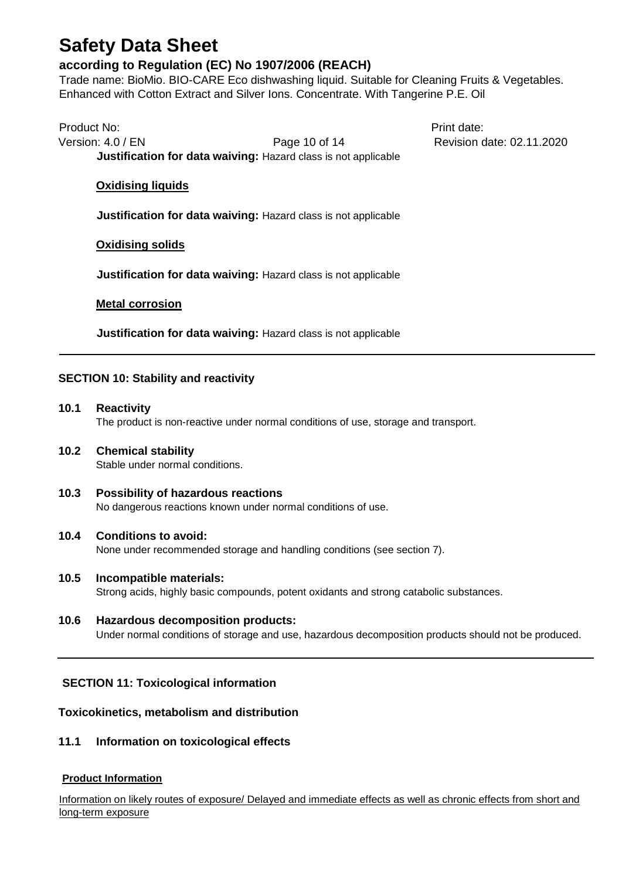### **according to Regulation (EC) No 1907/2006 (REACH)**

Trade name: BioMio. BIO-CARE Eco dishwashing liquid. Suitable for Cleaning Fruits & Vegetables. Enhanced with Cotton Extract and Silver Ions. Concentrate. With Tangerine P.E. Oil

Product No: **Product No:** Product No: Version: 4.0 / EN **Page 10 of 14** Revision date: 02.11.2020 **Justification for data waiving:** Hazard class is not applicable

#### **Oxidising liquids**

**Justification for data waiving:** Hazard class is not applicable

#### **Oxidising solids**

**Justification for data waiving:** Hazard class is not applicable

#### **Metal corrosion**

**Justification for data waiving:** Hazard class is not applicable

#### **SECTION 10: Stability and reactivity**

**10.1 Reactivity**  The product is non-reactive under normal conditions of use, storage and transport.

#### **10.2 Chemical stability**  Stable under normal conditions.

**10.3 Possibility of hazardous reactions**  No dangerous reactions known under normal conditions of use.

#### **10.4 Conditions to avoid:**

None under recommended storage and handling conditions (see section 7).

- **10.5 Incompatible materials:**  Strong acids, highly basic compounds, potent oxidants and strong catabolic substances.
- **10.6 Hazardous decomposition products:** Under normal conditions of storage and use, hazardous decomposition products should not be produced.

#### **SECTION 11: Toxicological information**

#### **Toxicokinetics, metabolism and distribution**

#### **11.1 Information on toxicological effects**

#### **Product Information**

Information on likely routes of exposure/ Delayed and immediate effects as well as chronic effects from short and long-term exposure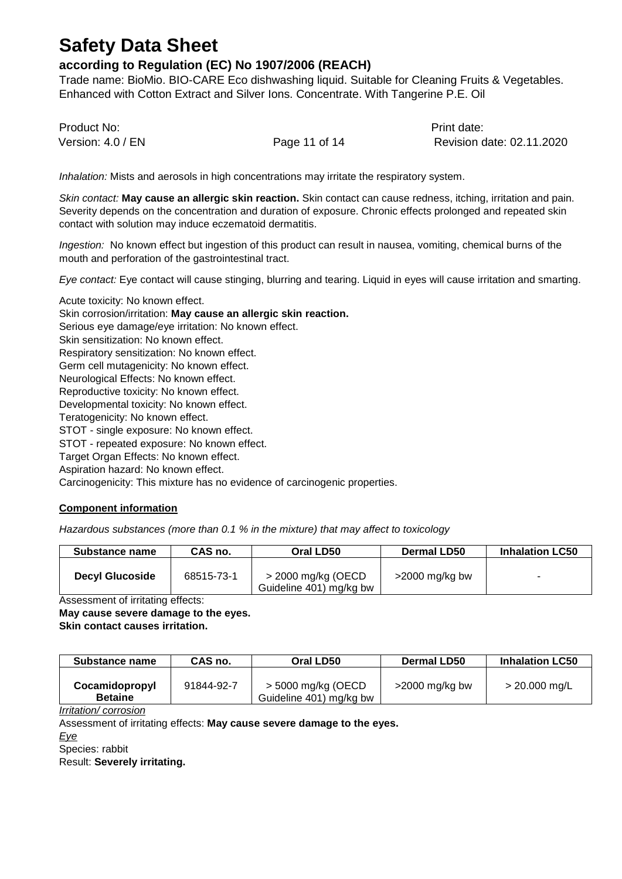### **according to Regulation (EC) No 1907/2006 (REACH)**

Trade name: BioMio. BIO-CARE Eco dishwashing liquid. Suitable for Cleaning Fruits & Vegetables. Enhanced with Cotton Extract and Silver Ions. Concentrate. With Tangerine P.E. Oil

Product No: Product No: Product No: Product No: Print date: Version: 4.0 / EN **Page 11 of 14** Revision date: 02.11.2020

*Inhalation:* Mists and aerosols in high concentrations may irritate the respiratory system.

*Skin contact:* **May cause an allergic skin reaction.** Skin contact can cause redness, itching, irritation and pain. Severity depends on the concentration and duration of exposure. Chronic effects prolonged and repeated skin contact with solution may induce eczematoid dermatitis.

*Ingestion:* No known effect but ingestion of this product can result in nausea, vomiting, chemical burns of the mouth and perforation of the gastrointestinal tract.

*Eye contact:* Eye contact will cause stinging, blurring and tearing. Liquid in eyes will cause irritation and smarting.

Acute toxicity: No known effect. Skin corrosion/irritation: **May cause an allergic skin reaction.** Serious eye damage/eye irritation: No known effect. Skin sensitization: No known effect. Respiratory sensitization: No known effect. Germ cell mutagenicity: No known effect. Neurological Effects: No known effect. Reproductive toxicity: No known effect. Developmental toxicity: No known effect. Teratogenicity: No known effect. STOT - single exposure: No known effect. STOT - repeated exposure: No known effect. Target Organ Effects: No known effect. Aspiration hazard: No known effect. Carcinogenicity: This mixture has no evidence of carcinogenic properties.

#### **Component information**

*Hazardous substances (more than 0.1 % in the mixture) that may affect to toxicology*

| <b>Substance name</b>  | CAS no.    | Oral LD50                                       | <b>Dermal LD50</b> | <b>Inhalation LC50</b> |
|------------------------|------------|-------------------------------------------------|--------------------|------------------------|
| <b>Decyl Glucoside</b> | 68515-73-1 | $>$ 2000 mg/kg (OECD<br>Guideline 401) mg/kg bw | $>$ 2000 mg/kg bw  |                        |

Assessment of irritating effects:

**May cause severe damage to the eyes.**

**Skin contact causes irritation.**

| Substance name                   | CAS no.    | Oral LD50                                     | Dermal LD50       | <b>Inhalation LC50</b> |
|----------------------------------|------------|-----------------------------------------------|-------------------|------------------------|
| Cocamidopropyl<br><b>Betaine</b> | 91844-92-7 | > 5000 mg/kg (OECD<br>Guideline 401) mg/kg bw | $>$ 2000 mg/kg bw | $>$ 20.000 mg/L        |

*Irritation/ corrosion*

Assessment of irritating effects: **May cause severe damage to the eyes.**

*Eye*

Species: rabbit

Result: **Severely irritating.**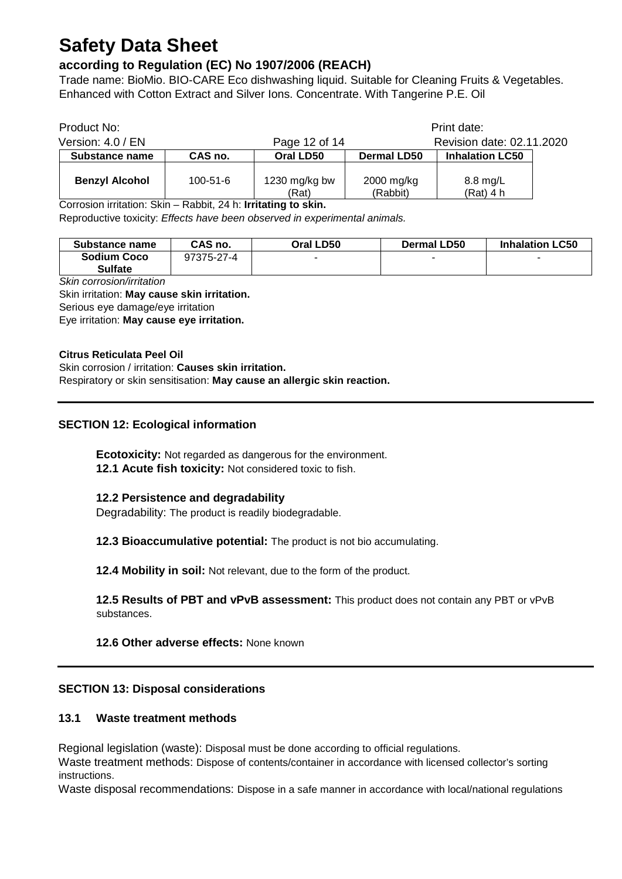## **according to Regulation (EC) No 1907/2006 (REACH)**

Trade name: BioMio. BIO-CARE Eco dishwashing liquid. Suitable for Cleaning Fruits & Vegetables. Enhanced with Cotton Extract and Silver Ions. Concentrate. With Tangerine P.E. Oil

| Product No:                                    |                     |                                  |                        | Print date:               |  |
|------------------------------------------------|---------------------|----------------------------------|------------------------|---------------------------|--|
| Version: 4.0 / EN                              |                     | Page 12 of 14                    |                        | Revision date: 02.11.2020 |  |
| Substance name                                 | CAS no.             | Oral LD50                        | <b>Dermal LD50</b>     | <b>Inhalation LC50</b>    |  |
| <b>Benzyl Alcohol</b><br>$\sim$<br>$\sim$<br>. | $100 - 51 - 6$<br>- | 1230 mg/kg bw<br>(Rat)<br>.<br>. | 2000 mg/kg<br>(Rabbit) | 8.8 mg/L<br>(Rat) 4 h     |  |

Corrosion irritation: Skin – Rabbit, 24 h: **Irritating to skin.**

Reproductive toxicity: *Effects have been observed in experimental animals.*

| Substance name | CAS no.    | Oral LD50 | <b>Dermal LD50</b>       | <b>Inhalation LC50</b> |
|----------------|------------|-----------|--------------------------|------------------------|
| Sodium Coco    | 97375-27-4 | -         | $\overline{\phantom{a}}$ | -                      |
| <b>Sulfate</b> |            |           |                          |                        |

*Skin corrosion/irritation*

Skin irritation: **May cause skin irritation.**

Serious eye damage/eye irritation

Eye irritation: **May cause eye irritation.**

#### **Citrus Reticulata Peel Oil**

Skin corrosion / irritation: **Causes skin irritation.**

Respiratory or skin sensitisation: **May cause an allergic skin reaction.**

#### **SECTION 12: Ecological information**

**Ecotoxicity:** Not regarded as dangerous for the environment. **12.1 Acute fish toxicity:** Not considered toxic to fish.

#### **12.2 Persistence and degradability**

Degradability: The product is readily biodegradable.

**12.3 Bioaccumulative potential:** The product is not bio accumulating.

**12.4 Mobility in soil:** Not relevant, due to the form of the product.

**12.5 Results of PBT and vPvB assessment:** This product does not contain any PBT or vPvB substances.

#### **12.6 Other adverse effects:** None known

#### **SECTION 13: Disposal considerations**

#### **13.1 Waste treatment methods**

Regional legislation (waste): Disposal must be done according to official regulations.

Waste treatment methods: Dispose of contents/container in accordance with licensed collector's sorting instructions.

Waste disposal recommendations: Dispose in a safe manner in accordance with local/national regulations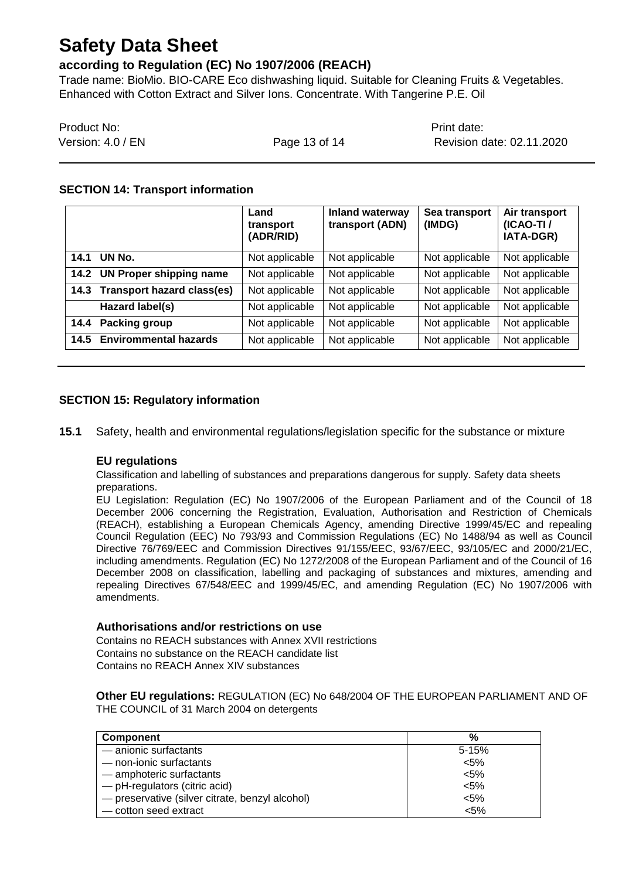### **according to Regulation (EC) No 1907/2006 (REACH)**

Trade name: BioMio. BIO-CARE Eco dishwashing liquid. Suitable for Cleaning Fruits & Vegetables. Enhanced with Cotton Extract and Silver Ions. Concentrate. With Tangerine P.E. Oil

| Product No:       |               | Print date:               |
|-------------------|---------------|---------------------------|
| Version: 4.0 / EN | Page 13 of 14 | Revision date: 02.11.2020 |

#### **SECTION 14: Transport information**

|      |                                   | Land<br>transport<br>(ADR/RID) | <b>Inland waterway</b><br>transport (ADN) | Sea transport<br>(IMDG) | Air transport<br>$(ICAO-TI)$<br>IATA-DGR) |
|------|-----------------------------------|--------------------------------|-------------------------------------------|-------------------------|-------------------------------------------|
| 14.1 | UN No.                            | Not applicable                 | Not applicable                            | Not applicable          | Not applicable                            |
| 14.2 | <b>UN Proper shipping name</b>    | Not applicable                 | Not applicable                            | Not applicable          | Not applicable                            |
| 14.3 | <b>Transport hazard class(es)</b> | Not applicable                 | Not applicable                            | Not applicable          | Not applicable                            |
|      | Hazard label(s)                   | Not applicable                 | Not applicable                            | Not applicable          | Not applicable                            |
| 14.4 | <b>Packing group</b>              | Not applicable                 | Not applicable                            | Not applicable          | Not applicable                            |
| 14.5 | <b>Envirommental hazards</b>      | Not applicable                 | Not applicable                            | Not applicable          | Not applicable                            |

#### **SECTION 15: Regulatory information**

**15.1** Safety, health and environmental regulations/legislation specific for the substance or mixture

#### **EU regulations**

Classification and labelling of substances and preparations dangerous for supply. Safety data sheets preparations.

EU Legislation: Regulation (EC) No 1907/2006 of the European Parliament and of the Council of 18 December 2006 concerning the Registration, Evaluation, Authorisation and Restriction of Chemicals (REACH), establishing a European Chemicals Agency, amending Directive 1999/45/EC and repealing Council Regulation (EEC) No 793/93 and Commission Regulations (EC) No 1488/94 as well as Council Directive 76/769/EEC and Commission Directives 91/155/EEC, 93/67/EEC, 93/105/EC and 2000/21/EC, including amendments. Regulation (EC) No 1272/2008 of the European Parliament and of the Council of 16 December 2008 on classification, labelling and packaging of substances and mixtures, amending and repealing Directives 67/548/EEC and 1999/45/EC, and amending Regulation (EC) No 1907/2006 with amendments.

#### **Authorisations and/or restrictions on use**

Contains no REACH substances with Annex XVII restrictions Contains no substance on the REACH candidate list Contains no REACH Annex XIV substances

**Other EU regulations:** REGULATION (EC) No 648/2004 OF THE EUROPEAN PARLIAMENT AND OF THE COUNCIL of 31 March 2004 on detergents

| <b>Component</b>                                | %       |
|-------------------------------------------------|---------|
| - anionic surfactants                           | $5-15%$ |
| - non-ionic surfactants                         | $< 5\%$ |
| - amphoteric surfactants                        | $< 5\%$ |
| - pH-regulators (citric acid)                   | $< 5\%$ |
| - preservative (silver citrate, benzyl alcohol) | $< 5\%$ |
| - cotton seed extract                           | $< 5\%$ |